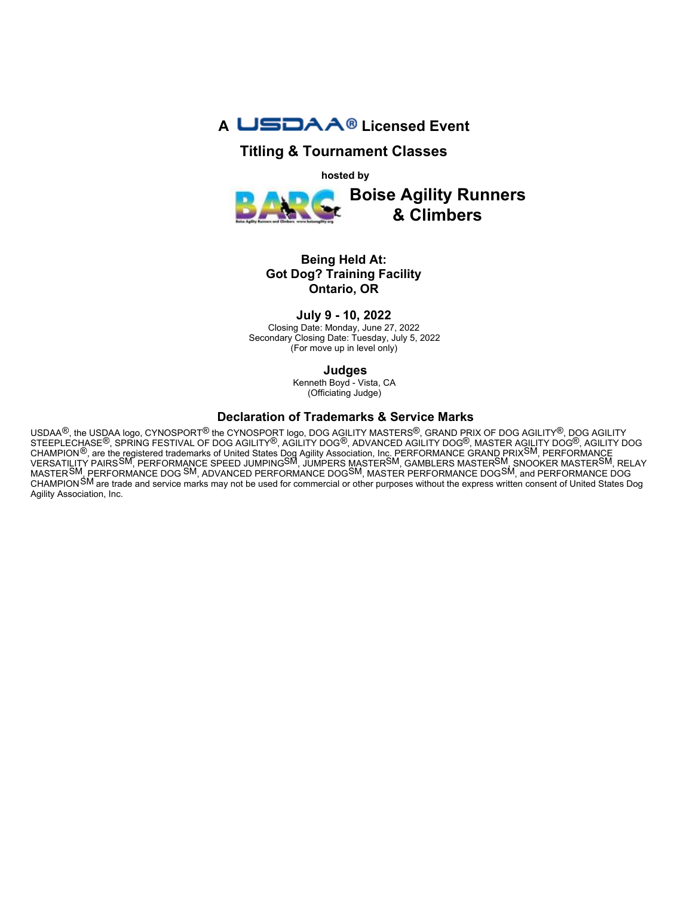

# **Titling & Tournament Classes**

**hosted by**



## **Being Held At: Got Dog? Training Facility Ontario, OR**

**July 9 - 10, 2022** 

Closing Date: Monday, June 27, 2022 Secondary Closing Date: Tuesday, July 5, 2022 (For move up in level only)

**Judges**

Kenneth Boyd - Vista, CA (Officiating Judge)

#### **Declaration of Trademarks & Service Marks**

USDAA<sup>®</sup>, the USDAA logo, CYNOSPORT<sup>®</sup> the CYNOSPORT logo, DOG AGILITY MASTERS<sup>®</sup>, GRAND PRIX OF DOG AGILITY<sup>®</sup>, DOG AGILITY STEEPLECHASE®, SPRING FESTIVAL OF DOG AGILITY®, AGILITY DOG®, ADVANCED AGILITY DOG®, MASTER AGILITY DOG®, AGILITY DOG CHAMPION®, are the registered trademarks of United States Dog Agility Association, Inc. PERFORMANCE GRAND PRIXSM, PERFORMANCE VERSATILITY PAIRSSM, PERFORMANCE SPEED JUMPINGSM, JUMPERS MASTERSM, GAMBLERS MASTERSM, SNOOKER MASTERSM, RELAY MASTER<sup>SM</sup>, PERFORMANCE DOG <sup>SM</sup>, ADVANCED PERFORMANCE DOG<sup>SM</sup>, MASTER PERFORMANCE DOG<sup>SM</sup>, and PERFORMANCE DOG CHAMPIONSM are trade and service marks may not be used for commercial or other purposes without the express written consent of United States Dog Agility Association, Inc.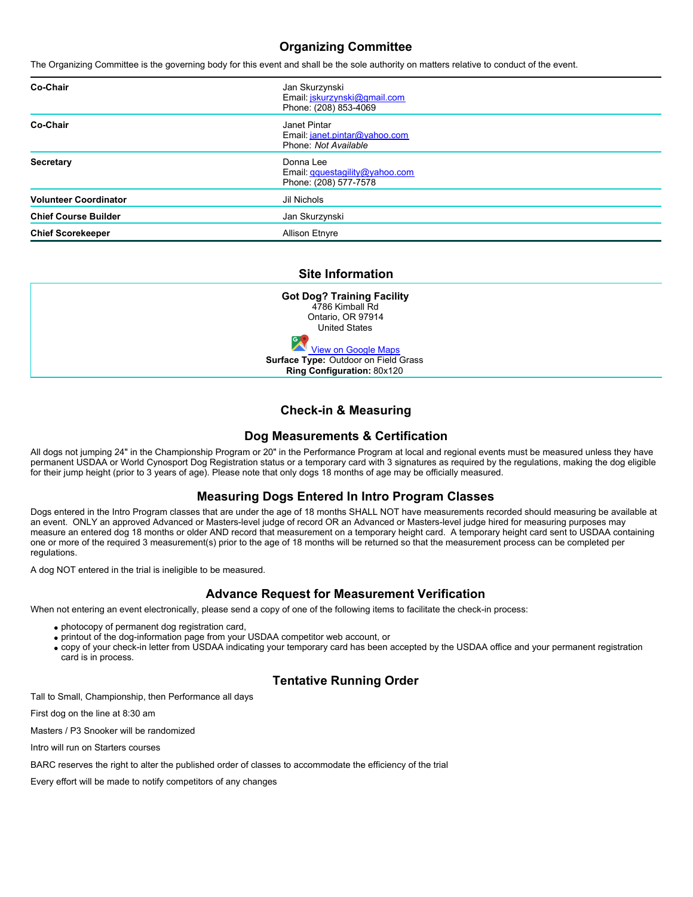# **Organizing Committee**

The Organizing Committee is the governing body for this event and shall be the sole authority on matters relative to conduct of the event.

| Co-Chair                     | Jan Skurzynski<br>Email: jskurzynski@gmail.com<br>Phone: (208) 853-4069    |
|------------------------------|----------------------------------------------------------------------------|
| Co-Chair                     | Janet Pintar<br>Email: janet.pintar@yahoo.com<br>Phone: Not Available      |
| Secretary                    | Donna Lee<br>Email <i>gquestagility@yahoo.com</i><br>Phone: (208) 577-7578 |
| <b>Volunteer Coordinator</b> | Jil Nichols                                                                |
| <b>Chief Course Builder</b>  | Jan Skurzynski                                                             |
| <b>Chief Scorekeeper</b>     | <b>Allison Etnyre</b>                                                      |

# **Site Information**

| <b>Got Dog? Training Facility</b>    |  |
|--------------------------------------|--|
| 4786 Kimball Rd                      |  |
| Ontario, OR 97914                    |  |
| <b>United States</b>                 |  |
| <b>View on Google Maps</b>           |  |
| Surface Type: Outdoor on Field Grass |  |
| Ring Configuration: 80x120           |  |

# **Check-in & Measuring**

#### **Dog Measurements & Certification**

All dogs not jumping 24" in the Championship Program or 20" in the Performance Program at local and regional events must be measured unless they have permanent USDAA or World Cynosport Dog Registration status or a temporary card with 3 signatures as required by the regulations, making the dog eligible for their jump height (prior to 3 years of age). Please note that only dogs 18 months of age may be officially measured.

## **Measuring Dogs Entered In Intro Program Classes**

Dogs entered in the Intro Program classes that are under the age of 18 months SHALL NOT have measurements recorded should measuring be available at an event. ONLY an approved Advanced or Masters-level judge of record OR an Advanced or Masters-level judge hired for measuring purposes may measure an entered dog 18 months or older AND record that measurement on a temporary height card. A temporary height card sent to USDAA containing one or more of the required 3 measurement(s) prior to the age of 18 months will be returned so that the measurement process can be completed per regulations.

A dog NOT entered in the trial is ineligible to be measured.

## **Advance Request for Measurement Verification**

When not entering an event electronically, please send a copy of one of the following items to facilitate the check-in process:

- photocopy of permanent dog registration card,
- printout of the dog-information page from your USDAA competitor web account, or
- copy of your check-in letter from USDAA indicating your temporary card has been accepted by the USDAA office and your permanent registration card is in process.

## **Tentative Running Order**

Tall to Small, Championship, then Performance all days

First dog on the line at 8:30 am

Masters / P3 Snooker will be randomized

Intro will run on Starters courses

BARC reserves the right to alter the published order of classes to accommodate the efficiency of the trial

Every effort will be made to notify competitors of any changes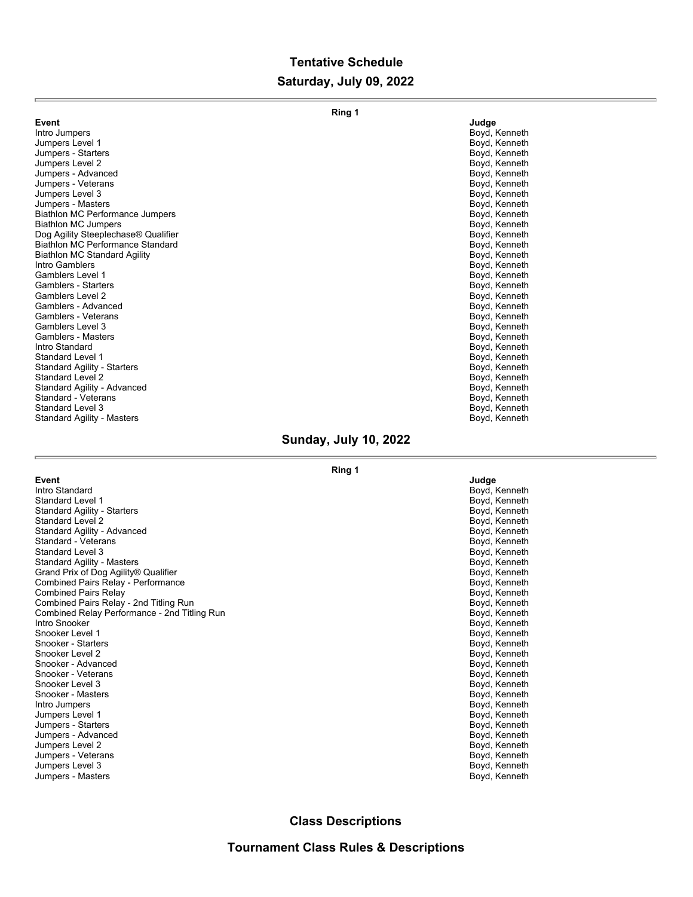# **Tentative Schedule Saturday, July 09, 2022**

|                                         | Ring 1        |
|-----------------------------------------|---------------|
| Event                                   | Judge         |
| Intro Jumpers                           | Boyd, Kenneth |
| Jumpers Level 1                         | Boyd, Kenneth |
| Jumpers - Starters                      | Boyd, Kenneth |
| Jumpers Level 2                         | Boyd, Kenneth |
| Jumpers - Advanced                      | Boyd, Kenneth |
| Jumpers - Veterans                      | Boyd, Kenneth |
| Jumpers Level 3                         | Boyd, Kenneth |
| Jumpers - Masters                       | Boyd, Kenneth |
| Biathlon MC Performance Jumpers         | Boyd, Kenneth |
| <b>Biathlon MC Jumpers</b>              | Boyd, Kenneth |
| Dog Agility Steeplechase® Qualifier     | Boyd, Kenneth |
| <b>Biathlon MC Performance Standard</b> | Boyd, Kenneth |
| <b>Biathlon MC Standard Agility</b>     | Boyd, Kenneth |
| Intro Gamblers                          | Boyd, Kenneth |
| Gamblers Level 1                        | Boyd, Kenneth |
| <b>Gamblers - Starters</b>              | Boyd, Kenneth |
| Gamblers Level 2                        | Boyd, Kenneth |
| Gamblers - Advanced                     | Boyd, Kenneth |
| Gamblers - Veterans                     | Boyd, Kenneth |
| Gamblers Level 3                        | Boyd, Kenneth |
| <b>Gamblers - Masters</b>               | Boyd, Kenneth |
| Intro Standard                          | Boyd, Kenneth |
| Standard Level 1                        | Boyd, Kenneth |
| <b>Standard Agility - Starters</b>      | Boyd, Kenneth |
| <b>Standard Level 2</b>                 | Boyd, Kenneth |
| Standard Agility - Advanced             | Boyd, Kenneth |
| Standard - Veterans                     | Boyd, Kenneth |
| Standard Level 3                        | Boyd, Kenneth |
| Standard Agility - Masters              | Boyd, Kenneth |
|                                         |               |

# **Sunday, July 10, 2022**

#### **Ring 1**

| Event                                        | Judge         |
|----------------------------------------------|---------------|
| Intro Standard                               | Boyd, Kenneth |
| <b>Standard Level 1</b>                      | Boyd, Kenneth |
| <b>Standard Agility - Starters</b>           | Boyd, Kenneth |
| Standard Level 2                             | Boyd, Kenneth |
| Standard Agility - Advanced                  | Boyd, Kenneth |
| Standard - Veterans                          | Boyd, Kenneth |
| Standard Level 3                             | Boyd, Kenneth |
| Standard Agility - Masters                   | Boyd, Kenneth |
| Grand Prix of Dog Agility® Qualifier         | Boyd, Kenneth |
| <b>Combined Pairs Relay - Performance</b>    | Boyd, Kenneth |
| <b>Combined Pairs Relay</b>                  | Boyd, Kenneth |
| Combined Pairs Relay - 2nd Titling Run       | Boyd, Kenneth |
| Combined Relay Performance - 2nd Titling Run | Boyd, Kenneth |
| Intro Snooker                                | Boyd, Kenneth |
| Snooker Level 1                              | Boyd, Kenneth |
| Snooker - Starters                           | Boyd, Kenneth |
| Snooker Level 2                              | Boyd, Kenneth |
| Snooker - Advanced                           | Boyd, Kenneth |
| Snooker - Veterans                           | Boyd, Kenneth |
| Snooker Level 3                              | Boyd, Kenneth |
| Snooker - Masters                            | Boyd, Kenneth |
| Intro Jumpers                                | Boyd, Kenneth |
| Jumpers Level 1                              | Boyd, Kenneth |
| Jumpers - Starters                           | Boyd, Kenneth |
| Jumpers - Advanced                           | Boyd, Kenneth |
| Jumpers Level 2                              | Boyd, Kenneth |
| Jumpers - Veterans                           | Boyd, Kenneth |
| Jumpers Level 3                              | Boyd, Kenneth |
| Jumpers - Masters                            | Boyd, Kenneth |
|                                              |               |

| Juuye |         |
|-------|---------|
| Boyd, | Kenneth |
| Boyd, | Kenneth |
| Boyd, | Kenneth |
| Boyd, | Kenneth |
| Boyd, | Kenneth |
| Boyd, | Kenneth |
| Boyd, | Kenneth |
| Boyd, | Kenneth |
| Boyd, | Kenneth |
| Boyd, | Kenneth |
| Boyd, | Kenneth |
| Boyd, | Kenneth |
| Boyd, | Kenneth |
| Boyd, | Kenneth |
| Boyd, | Kenneth |
| Boyd, | Kenneth |
| Boyd, | Kenneth |
| Boyd, | Kenneth |
| Boyd, | Kenneth |
| Boyd, | Kenneth |
| Boyd, | Kenneth |
| Boyd, | Kenneth |
| Boyd, | Kenneth |
| Boyd, | Kenneth |
| Boyd, | Kenneth |
| Boyd, | Kenneth |
| Boyd, | Kenneth |
| Boyd, | Kenneth |
| Bovd  | Kenneth |

# **Class Descriptions**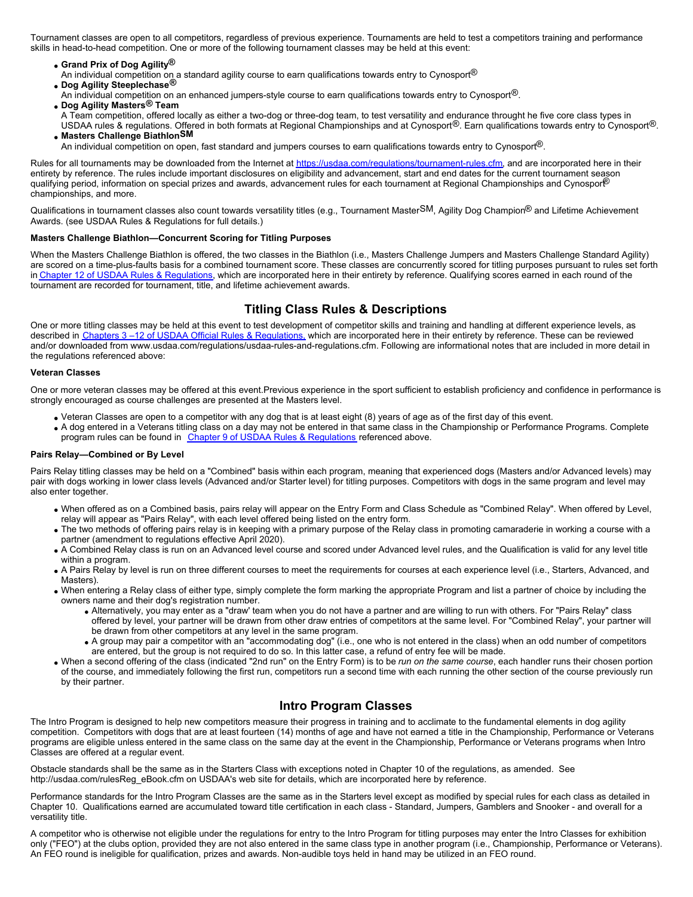Tournament classes are open to all competitors, regardless of previous experience. Tournaments are held to test a competitors training and performance skills in head-to-head competition. One or more of the following tournament classes may be held at this event:

- **Grand Prix of Dog Agility®**
- An individual competition on a standard agility course to earn qualifications towards entry to Cynosport<sup>®</sup>
- **Dog Agility Steeplechase®**
- An individual competition on an enhanced jumpers-style course to earn qualifications towards entry to Cynosport<sup>®</sup>.
- **Dog Agility Masters® Team** A Team competition, offered locally as either a two-dog or three-dog team, to test versatility and endurance throught he five core class types in USDAA rules & regulations. Offered in both formats at Regional Championships and at Cynosport®. Earn qualifications towards entry to Cynosport®. **Masters Challenge BiathlonSM**
	- An individual competition on open, fast standard and jumpers courses to earn qualifications towards entry to Cynosport<sup>®</sup>.

Rules for all tournaments may be downloaded from the Internet at <https://usdaa.com/regulations/tournament-rules.cfm>, and are incorporated here in their entirety by reference. The rules include important disclosures on eligibility and advancement, start and end dates for the current tournament season qualifying period, information on special prizes and awards, advancement rules for each tournament at Regional Championships and Cynospor $\mathbb{P}$ championships, and more.

Qualifications in tournament classes also count towards versatility titles (e.g., Tournament MasterSM, Agility Dog Champion<sup>®</sup> and Lifetime Achievement Awards. (see USDAA Rules & Regulations for full details.)

#### **Masters Challenge Biathlon—Concurrent Scoring for Titling Purposes**

When the Masters Challenge Biathlon is offered, the two classes in the Biathlon (i.e., Masters Challenge Jumpers and Masters Challenge Standard Agility) are scored on a time-plus-faults basis for a combined tournament score. These classes are concurrently scored for titling purposes pursuant to rules set forth in [Chapter 12 of USDAA Rules & Regulations](https://www.usdaa.com/regulations/usdaa-rules-and-regulations.cfm), which are incorporated here in their entirety by reference. Qualifying scores earned in each round of the tournament are recorded for tournament, title, and lifetime achievement awards.

## **Titling Class Rules & Descriptions**

One or more titling classes may be held at this event to test development of competitor skills and training and handling at different experience levels, as described in Chapters 3-12 of USDAA Official Rules & Regulations, which are incorporated here in their entirety by reference. These can be reviewed and/or downloaded from www.usdaa.com/regulations/usdaa-rules-and-regulations.cfm. Following are informational notes that are included in more detail in the regulations referenced above:

#### **Veteran Classes**

One or more veteran classes may be offered at this event.Previous experience in the sport sufficient to establish proficiency and confidence in performance is strongly encouraged as course challenges are presented at the Masters level.

- Veteran Classes are open to a competitor with any dog that is at least eight (8) years of age as of the first day of this event.
- A dog entered in a Veterans titling class on a day may not be entered in that same class in the Championship or Performance Programs. Complete program rules can be found in [Chapter 9 of USDAA Rules & Regulations](https://www.usdaa.com/regulations/usdaa-rules-and-regulations.cfm) referenced above.

#### **Pairs Relay—Combined or By Level**

Pairs Relay titling classes may be held on a "Combined" basis within each program, meaning that experienced dogs (Masters and/or Advanced levels) may pair with dogs working in lower class levels (Advanced and/or Starter level) for titling purposes. Competitors with dogs in the same program and level may also enter together.

- When offered as on a Combined basis, pairs relay will appear on the Entry Form and Class Schedule as "Combined Relay". When offered by Level, relay will appear as "Pairs Relay", with each level offered being listed on the entry form.
- The two methods of offering pairs relay is in keeping with a primary purpose of the Relay class in promoting camaraderie in working a course with a partner (amendment to regulations effective April 2020).
- A Combined Relay class is run on an Advanced level course and scored under Advanced level rules, and the Qualification is valid for any level title within a program.
- A Pairs Relay by level is run on three different courses to meet the requirements for courses at each experience level (i.e., Starters, Advanced, and Masters).
- When entering a Relay class of either type, simply complete the form marking the appropriate Program and list a partner of choice by including the owners name and their dog's registration number.
	- Alternatively, you may enter as a "draw' team when you do not have a partner and are willing to run with others. For "Pairs Relay" class offered by level, your partner will be drawn from other draw entries of competitors at the same level. For "Combined Relay", your partner will be drawn from other competitors at any level in the same program.
	- A group may pair a competitor with an "accommodating dog" (i.e., one who is not entered in the class) when an odd number of competitors are entered, but the group is not required to do so. In this latter case, a refund of entry fee will be made.
- When a second offering of the class (indicated "2nd run" on the Entry Form) is to be *run on the same course*, each handler runs their chosen portion of the course, and immediately following the first run, competitors run a second time with each running the other section of the course previously run by their partner.

#### **Intro Program Classes**

The Intro Program is designed to help new competitors measure their progress in training and to acclimate to the fundamental elements in dog agility competition. Competitors with dogs that are at least fourteen (14) months of age and have not earned a title in the Championship, Performance or Veterans programs are eligible unless entered in the same class on the same day at the event in the Championship, Performance or Veterans programs when Intro Classes are offered at a regular event.

Obstacle standards shall be the same as in the Starters Class with exceptions noted in Chapter 10 of the regulations, as amended. See http://usdaa.com/rulesReg\_eBook.cfm on USDAA's web site for details, which are incorporated here by reference.

Performance standards for the Intro Program Classes are the same as in the Starters level except as modified by special rules for each class as detailed in Chapter 10. Qualifications earned are accumulated toward title certification in each class - Standard, Jumpers, Gamblers and Snooker - and overall for a versatility title.

A competitor who is otherwise not eligible under the regulations for entry to the Intro Program for titling purposes may enter the Intro Classes for exhibition only ("FEO") at the clubs option, provided they are not also entered in the same class type in another program (i.e., Championship, Performance or Veterans). An FEO round is ineligible for qualification, prizes and awards. Non-audible toys held in hand may be utilized in an FEO round.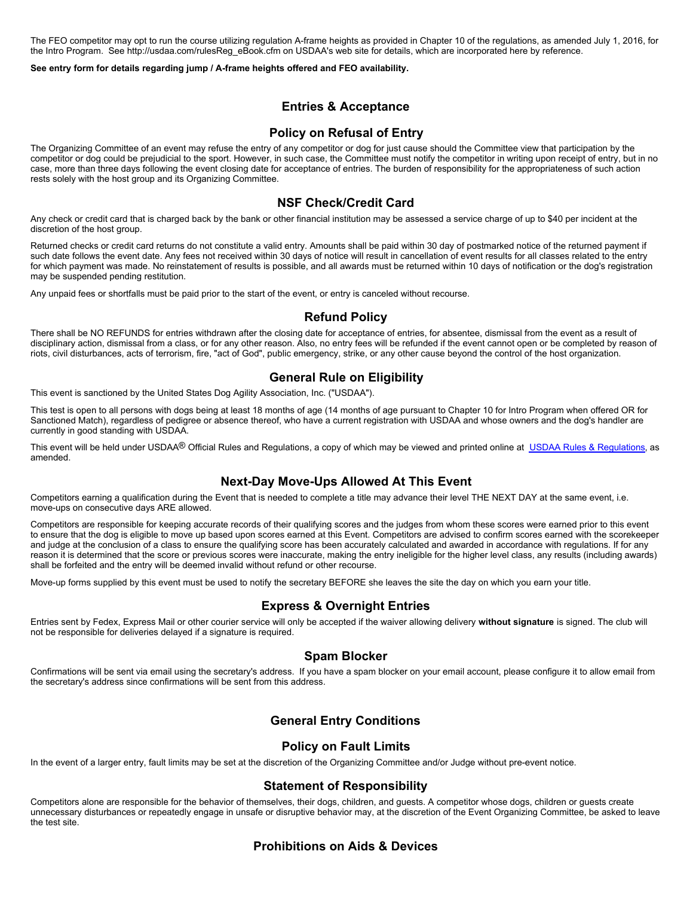The FEO competitor may opt to run the course utilizing regulation A-frame heights as provided in Chapter 10 of the regulations, as amended July 1, 2016, for the Intro Program. See http://usdaa.com/rulesReg\_eBook.cfm on USDAA's web site for details, which are incorporated here by reference.

#### **See entry form for details regarding jump / A-frame heights offered and FEO availability.**

#### **Entries & Acceptance**

#### **Policy on Refusal of Entry**

The Organizing Committee of an event may refuse the entry of any competitor or dog for just cause should the Committee view that participation by the competitor or dog could be prejudicial to the sport. However, in such case, the Committee must notify the competitor in writing upon receipt of entry, but in no case, more than three days following the event closing date for acceptance of entries. The burden of responsibility for the appropriateness of such action rests solely with the host group and its Organizing Committee.

#### **NSF Check/Credit Card**

Any check or credit card that is charged back by the bank or other financial institution may be assessed a service charge of up to \$40 per incident at the discretion of the host group.

Returned checks or credit card returns do not constitute a valid entry. Amounts shall be paid within 30 day of postmarked notice of the returned payment if such date follows the event date. Any fees not received within 30 days of notice will result in cancellation of event results for all classes related to the entry for which payment was made. No reinstatement of results is possible, and all awards must be returned within 10 days of notification or the dog's registration may be suspended pending restitution.

Any unpaid fees or shortfalls must be paid prior to the start of the event, or entry is canceled without recourse.

#### **Refund Policy**

There shall be NO REFUNDS for entries withdrawn after the closing date for acceptance of entries, for absentee, dismissal from the event as a result of disciplinary action, dismissal from a class, or for any other reason. Also, no entry fees will be refunded if the event cannot open or be completed by reason of riots, civil disturbances, acts of terrorism, fire, "act of God", public emergency, strike, or any other cause beyond the control of the host organization.

#### **General Rule on Eligibility**

This event is sanctioned by the United States Dog Agility Association, Inc. ("USDAA").

This test is open to all persons with dogs being at least 18 months of age (14 months of age pursuant to Chapter 10 for Intro Program when offered OR for Sanctioned Match), regardless of pedigree or absence thereof, who have a current registration with USDAA and whose owners and the dog's handler are currently in good standing with USDAA.

This event will be held under USDAA<sup>®</sup> Official Rules and Regulations, a copy of which may be viewed and printed online at [USDAA Rules & Regulations](http://www.usdaa.com/regulations/usdaa-rules-and-regulations.cfm), as amended.

#### **Next-Day Move-Ups Allowed At This Event**

Competitors earning a qualification during the Event that is needed to complete a title may advance their level THE NEXT DAY at the same event, i.e. move-ups on consecutive days ARE allowed.

Competitors are responsible for keeping accurate records of their qualifying scores and the judges from whom these scores were earned prior to this event to ensure that the dog is eligible to move up based upon scores earned at this Event. Competitors are advised to confirm scores earned with the scorekeeper and judge at the conclusion of a class to ensure the qualifying score has been accurately calculated and awarded in accordance with regulations. If for any reason it is determined that the score or previous scores were inaccurate, making the entry ineligible for the higher level class, any results (including awards) shall be forfeited and the entry will be deemed invalid without refund or other recourse.

Move-up forms supplied by this event must be used to notify the secretary BEFORE she leaves the site the day on which you earn your title.

#### **Express & Overnight Entries**

Entries sent by Fedex, Express Mail or other courier service will only be accepted if the waiver allowing delivery **without signature** is signed. The club will not be responsible for deliveries delayed if a signature is required.

#### **Spam Blocker**

Confirmations will be sent via email using the secretary's address. If you have a spam blocker on your email account, please configure it to allow email from the secretary's address since confirmations will be sent from this address.

## **General Entry Conditions**

#### **Policy on Fault Limits**

In the event of a larger entry, fault limits may be set at the discretion of the Organizing Committee and/or Judge without pre-event notice.

#### **Statement of Responsibility**

Competitors alone are responsible for the behavior of themselves, their dogs, children, and guests. A competitor whose dogs, children or guests create unnecessary disturbances or repeatedly engage in unsafe or disruptive behavior may, at the discretion of the Event Organizing Committee, be asked to leave the test site.

#### **Prohibitions on Aids & Devices**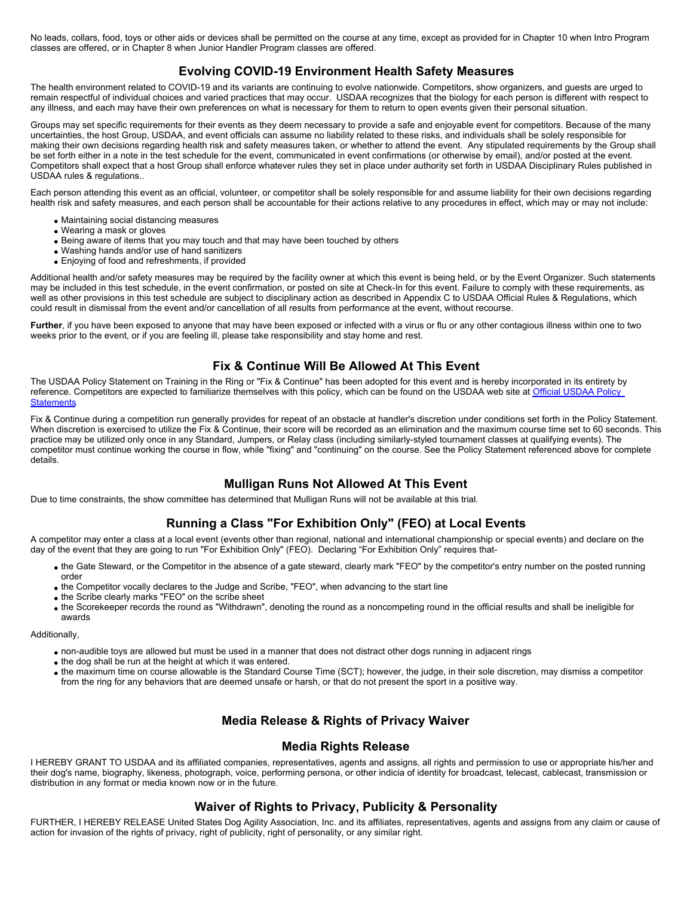No leads, collars, food, toys or other aids or devices shall be permitted on the course at any time, except as provided for in Chapter 10 when Intro Program classes are offered, or in Chapter 8 when Junior Handler Program classes are offered.

## **Evolving COVID-19 Environment Health Safety Measures**

The health environment related to COVID-19 and its variants are continuing to evolve nationwide. Competitors, show organizers, and guests are urged to remain respectful of individual choices and varied practices that may occur. USDAA recognizes that the biology for each person is different with respect to any illness, and each may have their own preferences on what is necessary for them to return to open events given their personal situation.

Groups may set specific requirements for their events as they deem necessary to provide a safe and enjoyable event for competitors. Because of the many uncertainties, the host Group, USDAA, and event officials can assume no liability related to these risks, and individuals shall be solely responsible for making their own decisions regarding health risk and safety measures taken, or whether to attend the event. Any stipulated requirements by the Group shall be set forth either in a note in the test schedule for the event, communicated in event confirmations (or otherwise by email), and/or posted at the event. Competitors shall expect that a host Group shall enforce whatever rules they set in place under authority set forth in USDAA Disciplinary Rules published in USDAA rules & regulations..

Each person attending this event as an official, volunteer, or competitor shall be solely responsible for and assume liability for their own decisions regarding health risk and safety measures, and each person shall be accountable for their actions relative to any procedures in effect, which may or may not include:

- Maintaining social distancing measures
- Wearing a mask or gloves
- Being aware of items that you may touch and that may have been touched by others
- Washing hands and/or use of hand sanitizers
- Enjoying of food and refreshments, if provided

Additional health and/or safety measures may be required by the facility owner at which this event is being held, or by the Event Organizer. Such statements may be included in this test schedule, in the event confirmation, or posted on site at Check-In for this event. Failure to comply with these requirements, as well as other provisions in this test schedule are subject to disciplinary action as described in Appendix C to USDAA Official Rules & Regulations, which could result in dismissal from the event and/or cancellation of all results from performance at the event, without recourse.

Further, if you have been exposed to anyone that may have been exposed or infected with a virus or flu or any other contagious illness within one to two weeks prior to the event, or if you are feeling ill, please take responsibility and stay home and rest.

## **Fix & Continue Will Be Allowed At This Event**

The USDAA Policy Statement on Training in the Ring or "Fix & Continue" has been adopted for this event and is hereby incorporated in its entirety by reference. Competitors are expected to familiarize themselves with this policy, which can be found on the USDAA web site at [Official USDAA Policy](http://www.usdaa.com/policies/upload/20181010FixandContinuePolicy.pdf) **[Statements](http://www.usdaa.com/policies/upload/20181010FixandContinuePolicy.pdf)** 

Fix & Continue during a competition run generally provides for repeat of an obstacle at handler's discretion under conditions set forth in the Policy Statement. When discretion is exercised to utilize the Fix & Continue, their score will be recorded as an elimination and the maximum course time set to 60 seconds. This practice may be utilized only once in any Standard, Jumpers, or Relay class (including similarly-styled tournament classes at qualifying events). The competitor must continue working the course in flow, while "fixing" and "continuing" on the course. See the Policy Statement referenced above for complete details.

## **Mulligan Runs Not Allowed At This Event**

Due to time constraints, the show committee has determined that Mulligan Runs will not be available at this trial.

## **Running a Class "For Exhibition Only" (FEO) at Local Events**

A competitor may enter a class at a local event (events other than regional, national and international championship or special events) and declare on the day of the event that they are going to run "For Exhibition Only" (FEO). Declaring "For Exhibition Only" requires that-

- the Gate Steward, or the Competitor in the absence of a gate steward, clearly mark "FEO" by the competitor's entry number on the posted running order
- the Competitor vocally declares to the Judge and Scribe, "FEO", when advancing to the start line
- the Scribe clearly marks "FEO" on the scribe sheet
- the Scorekeeper records the round as "Withdrawn", denoting the round as a noncompeting round in the official results and shall be ineligible for awards

Additionally,

- non-audible toys are allowed but must be used in a manner that does not distract other dogs running in adjacent rings
- the dog shall be run at the height at which it was entered.
- the maximum time on course allowable is the Standard Course Time (SCT); however, the judge, in their sole discretion, may dismiss a competitor from the ring for any behaviors that are deemed unsafe or harsh, or that do not present the sport in a positive way.

## **Media Release & Rights of Privacy Waiver**

#### **Media Rights Release**

I HEREBY GRANT TO USDAA and its affiliated companies, representatives, agents and assigns, all rights and permission to use or appropriate his/her and their dog's name, biography, likeness, photograph, voice, performing persona, or other indicia of identity for broadcast, telecast, cablecast, transmission or distribution in any format or media known now or in the future.

## **Waiver of Rights to Privacy, Publicity & Personality**

FURTHER, I HEREBY RELEASE United States Dog Agility Association, Inc. and its affiliates, representatives, agents and assigns from any claim or cause of action for invasion of the rights of privacy, right of publicity, right of personality, or any similar right.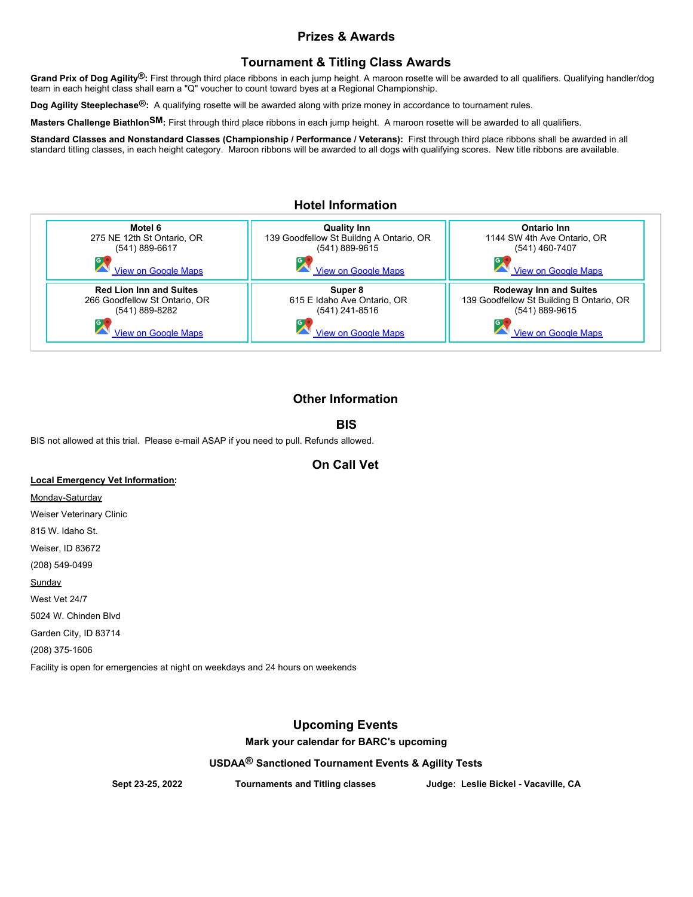## **Prizes & Awards**

## **Tournament & Titling Class Awards**

**Grand Prix of Dog Agility®:** First through third place ribbons in each jump height. A maroon rosette will be awarded to all qualifiers. Qualifying handler/dog team in each height class shall earn a "Q" voucher to count toward byes at a Regional Championship.

**Dog Agility Steeplechase®:**  A qualifying rosette will be awarded along with prize money in accordance to tournament rules.

**Masters Challenge BiathlonSM:** First through third place ribbons in each jump height. A maroon rosette will be awarded to all qualifiers.

Standard Classes and Nonstandard Classes (Championship / Performance / Veterans): First through third place ribbons shall be awarded in all standard titling classes, in each height category. Maroon ribbons will be awarded to all dogs with qualifying scores. New title ribbons are available.

## **Hotel Information**



# **Other Information**

## **BIS**

BIS not allowed at this trial. Please e-mail ASAP if you need to pull. Refunds allowed.

## **On Call Vet**

#### **Local Emergency Vet Information:**

Monday-Saturday Weiser Veterinary Clinic 815 W. Idaho St. Weiser, ID 83672 (208) 549-0499 Sunday West Vet 24/7 5024 W. Chinden Blvd Garden City, ID 83714 (208) 375-1606 Facility is open for emergencies at night on weekdays and 24 hours on weekends

## **Upcoming Events**

**Mark your calendar for BARC's upcoming**

**USDAA® Sanctioned Tournament Events & Agility Tests**

**Sept 23-25, 2022 Tournaments and Titling classes Judge: Leslie Bickel - Vacaville, CA**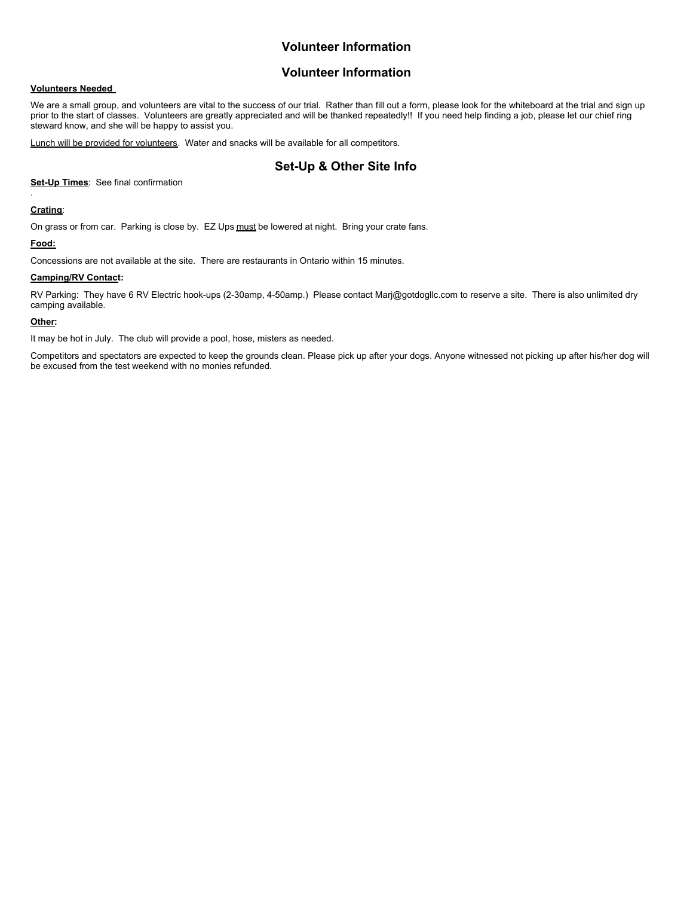## **Volunteer Information**

#### **Volunteer Information**

#### **Volunteers Needed**

We are a small group, and volunteers are vital to the success of our trial. Rather than fill out a form, please look for the whiteboard at the trial and sign up prior to the start of classes. Volunteers are greatly appreciated and will be thanked repeatedly!! If you need help finding a job, please let our chief ring steward know, and she will be happy to assist you.

Lunch will be provided for volunteers. Water and snacks will be available for all competitors.

## **Set-Up & Other Site Info**

**Set-Up Times**: See final confirmation

#### **Crating**:

.

On grass or from car. Parking is close by. EZ Ups must be lowered at night. Bring your crate fans.

#### **Food:**

Concessions are not available at the site. There are restaurants in Ontario within 15 minutes.

#### **Camping/RV Contact:**

RV Parking: They have 6 RV Electric hook-ups (2-30amp, 4-50amp.) Please contact Marj@gotdogllc.com to reserve a site. There is also unlimited dry camping available.

#### **Other:**

It may be hot in July. The club will provide a pool, hose, misters as needed.

Competitors and spectators are expected to keep the grounds clean. Please pick up after your dogs. Anyone witnessed not picking up after his/her dog will be excused from the test weekend with no monies refunded.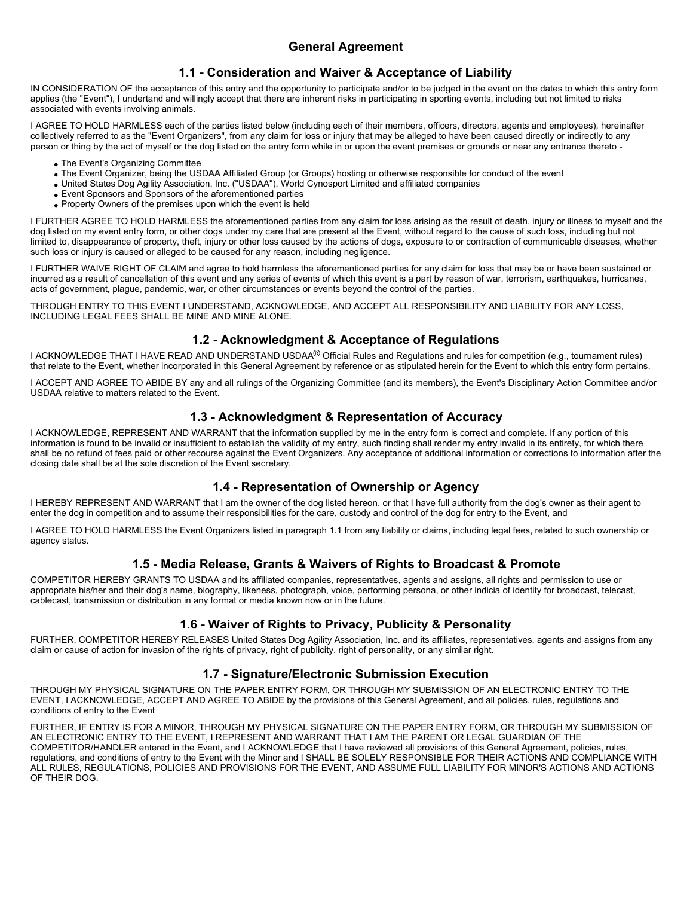## **1.1 - Consideration and Waiver & Acceptance of Liability**

IN CONSIDERATION OF the acceptance of this entry and the opportunity to participate and/or to be judged in the event on the dates to which this entry form applies (the "Event"), I undertand and willingly accept that there are inherent risks in participating in sporting events, including but not limited to risks associated with events involving animals.

I AGREE TO HOLD HARMLESS each of the parties listed below (including each of their members, officers, directors, agents and employees), hereinafter collectively referred to as the "Event Organizers", from any claim for loss or injury that may be alleged to have been caused directly or indirectly to any person or thing by the act of myself or the dog listed on the entry form while in or upon the event premises or grounds or near any entrance thereto -

- The Event's Organizing Committee
- The Event Organizer, being the USDAA Affiliated Group (or Groups) hosting or otherwise responsible for conduct of the event
- United States Dog Agility Association, Inc. ("USDAA"), World Cynosport Limited and affiliated companies
- Event Sponsors and Sponsors of the aforementioned parties
- Property Owners of the premises upon which the event is held

I FURTHER AGREE TO HOLD HARMLESS the aforementioned parties from any claim for loss arising as the result of death, injury or illness to myself and the dog listed on my event entry form, or other dogs under my care that are present at the Event, without regard to the cause of such loss, including but not limited to, disappearance of property, theft, injury or other loss caused by the actions of dogs, exposure to or contraction of communicable diseases, whether such loss or injury is caused or alleged to be caused for any reason, including negligence.

I FURTHER WAIVE RIGHT OF CLAIM and agree to hold harmless the aforementioned parties for any claim for loss that may be or have been sustained or incurred as a result of cancellation of this event and any series of events of which this event is a part by reason of war, terrorism, earthquakes, hurricanes, acts of government, plague, pandemic, war, or other circumstances or events beyond the control of the parties.

THROUGH ENTRY TO THIS EVENT I UNDERSTAND, ACKNOWLEDGE, AND ACCEPT ALL RESPONSIBILITY AND LIABILITY FOR ANY LOSS, INCLUDING LEGAL FEES SHALL BE MINE AND MINE ALONE.

## **1.2 - Acknowledgment & Acceptance of Regulations**

I ACKNOWLEDGE THAT I HAVE READ AND UNDERSTAND USDAA® Official Rules and Regulations and rules for competition (e.g., tournament rules) that relate to the Event, whether incorporated in this General Agreement by reference or as stipulated herein for the Event to which this entry form pertains.

I ACCEPT AND AGREE TO ABIDE BY any and all rulings of the Organizing Committee (and its members), the Event's Disciplinary Action Committee and/or USDAA relative to matters related to the Event.

#### **1.3 - Acknowledgment & Representation of Accuracy**

I ACKNOWLEDGE, REPRESENT AND WARRANT that the information supplied by me in the entry form is correct and complete. If any portion of this information is found to be invalid or insufficient to establish the validity of my entry, such finding shall render my entry invalid in its entirety, for which there shall be no refund of fees paid or other recourse against the Event Organizers. Any acceptance of additional information or corrections to information after the closing date shall be at the sole discretion of the Event secretary.

#### **1.4 - Representation of Ownership or Agency**

I HEREBY REPRESENT AND WARRANT that I am the owner of the dog listed hereon, or that I have full authority from the dog's owner as their agent to enter the dog in competition and to assume their responsibilities for the care, custody and control of the dog for entry to the Event, and

I AGREE TO HOLD HARMLESS the Event Organizers listed in paragraph 1.1 from any liability or claims, including legal fees, related to such ownership or agency status.

## **1.5 - Media Release, Grants & Waivers of Rights to Broadcast & Promote**

COMPETITOR HEREBY GRANTS TO USDAA and its affiliated companies, representatives, agents and assigns, all rights and permission to use or appropriate his/her and their dog's name, biography, likeness, photograph, voice, performing persona, or other indicia of identity for broadcast, telecast, cablecast, transmission or distribution in any format or media known now or in the future.

## **1.6 - Waiver of Rights to Privacy, Publicity & Personality**

FURTHER, COMPETITOR HEREBY RELEASES United States Dog Agility Association, Inc. and its affiliates, representatives, agents and assigns from any claim or cause of action for invasion of the rights of privacy, right of publicity, right of personality, or any similar right.

#### **1.7 - Signature/Electronic Submission Execution**

THROUGH MY PHYSICAL SIGNATURE ON THE PAPER ENTRY FORM, OR THROUGH MY SUBMISSION OF AN ELECTRONIC ENTRY TO THE EVENT, I ACKNOWLEDGE, ACCEPT AND AGREE TO ABIDE by the provisions of this General Agreement, and all policies, rules, regulations and conditions of entry to the Event

FURTHER, IF ENTRY IS FOR A MINOR, THROUGH MY PHYSICAL SIGNATURE ON THE PAPER ENTRY FORM, OR THROUGH MY SUBMISSION OF AN ELECTRONIC ENTRY TO THE EVENT, I REPRESENT AND WARRANT THAT I AM THE PARENT OR LEGAL GUARDIAN OF THE COMPETITOR/HANDLER entered in the Event, and I ACKNOWLEDGE that I have reviewed all provisions of this General Agreement, policies, rules, regulations, and conditions of entry to the Event with the Minor and I SHALL BE SOLELY RESPONSIBLE FOR THEIR ACTIONS AND COMPLIANCE WITH ALL RULES, REGULATIONS, POLICIES AND PROVISIONS FOR THE EVENT, AND ASSUME FULL LIABILITY FOR MINOR'S ACTIONS AND ACTIONS OF THEIR DOG.